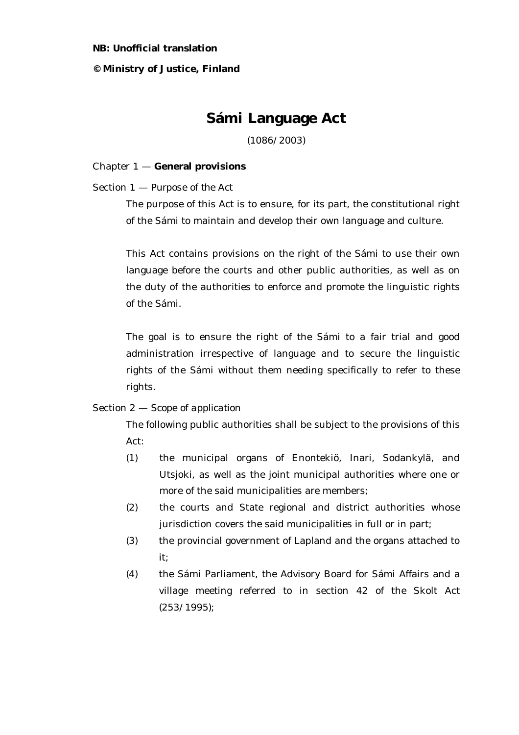#### **NB: Unofficial translation**

#### **© Ministry of Justice, Finland**

# **Sámi Language Act**

(1086/2003)

#### Chapter 1 — **General provisions**

Section 1 — *Purpose of the Act*

The purpose of this Act is to ensure, for its part, the constitutional right of the Sámi to maintain and develop their own language and culture.

This Act contains provisions on the right of the Sámi to use their own language before the courts and other public authorities, as well as on the duty of the authorities to enforce and promote the linguistic rights of the Sámi.

The goal is to ensure the right of the Sámi to a fair trial and good administration irrespective of language and to secure the linguistic rights of the Sámi without them needing specifically to refer to these rights.

## Section 2 — *Scope of application*

The following public authorities shall be subject to the provisions of this Act:

- (1) the municipal organs of Enontekiö, Inari, Sodankylä, and Utsjoki, as well as the joint municipal authorities where one or more of the said municipalities are members;
- (2) the courts and State regional and district authorities whose jurisdiction covers the said municipalities in full or in part;
- (3) the provincial government of Lapland and the organs attached to it;
- (4) the Sámi Parliament, the Advisory Board for Sámi Affairs and a village meeting referred to in section 42 of the Skolt Act (253/1995);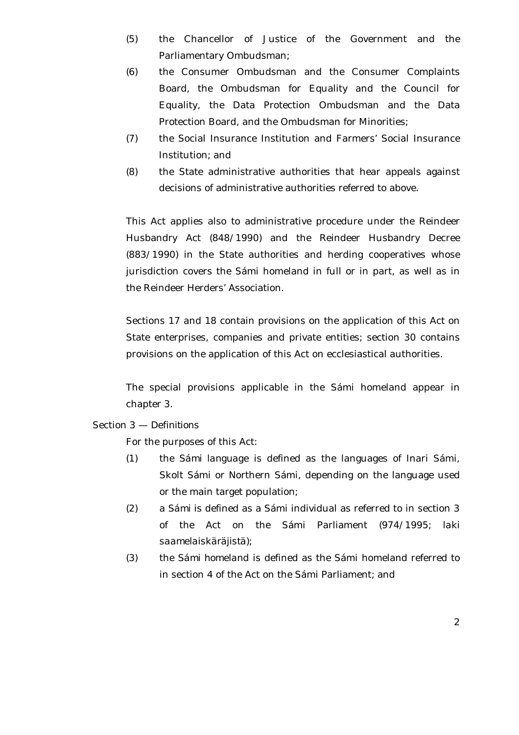- (5) the Chancellor of Justice of the Government and the Parliamentary Ombudsman;
- (6) the Consumer Ombudsman and the Consumer Complaints Board, the Ombudsman for Equality and the Council for Equality, the Data Protection Ombudsman and the Data Protection Board, and the Ombudsman for Minorities;
- (7) the Social Insurance Institution and Farmers' Social Insurance Institution; and
- (8) the State administrative authorities that hear appeals against decisions of administrative authorities referred to above.

This Act applies also to administrative procedure under the Reindeer Husbandry Act (848/1990) and the Reindeer Husbandry Decree (883/1990) in the State authorities and herding cooperatives whose jurisdiction covers the Sámi homeland in full or in part, as well as in the Reindeer Herders' Association.

Sections 17 and 18 contain provisions on the application of this Act on State enterprises, companies and private entities; section 30 contains provisions on the application of this Act on ecclesiastical authorities.

The special provisions applicable in the Sámi homeland appear in chapter 3.

## Section 3 — *Definitions*

For the purposes of this Act:

- (1) the *Sámi language* is defined as the languages of Inari Sámi, Skolt Sámi or Northern Sámi, depending on the language used or the main target population;
- (2) a *Sámi* is defined as a Sámi individual as referred to in section 3 of the Act on the Sámi Parliament (974/1995; *laki saamelaiskäräjistä*);
- (3) the *Sámi homeland* is defined as the Sámi homeland referred to in section 4 of the Act on the Sámi Parliament; and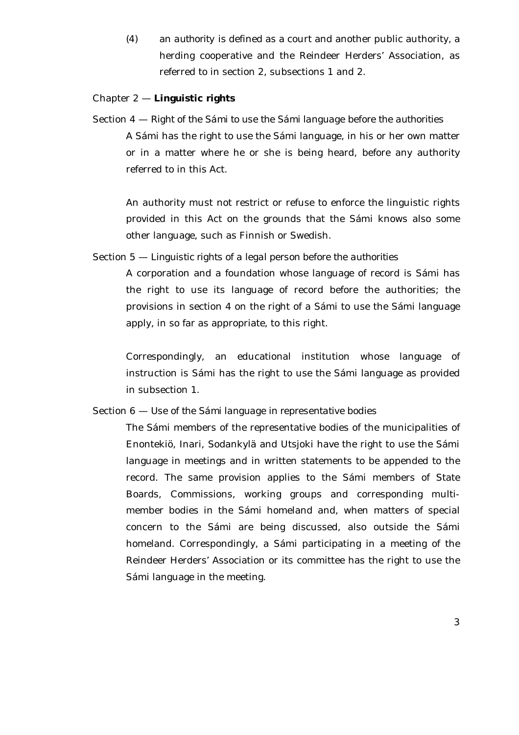(4) an *authority* is defined as a court and another public authority, a herding cooperative and the Reindeer Herders' Association, as referred to in section 2, subsections 1 and 2.

## Chapter 2 — **Linguistic rights**

Section 4 — *Right of the Sámi to use the Sámi language before the authorities* A Sámi has the right to use the Sámi language, in his or her own matter or in a matter where he or she is being heard, before any authority referred to in this Act.

An authority must not restrict or refuse to enforce the linguistic rights provided in this Act on the grounds that the Sámi knows also some other language, such as Finnish or Swedish.

Section 5 — *Linguistic rights of a legal person before the authorities*

A corporation and a foundation whose language of record is Sámi has the right to use its language of record before the authorities; the provisions in section 4 on the right of a Sámi to use the Sámi language apply, in so far as appropriate, to this right.

Correspondingly, an educational institution whose language of instruction is Sámi has the right to use the Sámi language as provided in subsection 1.

Section 6 — *Use of the Sámi language in representative bodies*

The Sámi members of the representative bodies of the municipalities of Enontekiö, Inari, Sodankylä and Utsjoki have the right to use the Sámi language in meetings and in written statements to be appended to the record. The same provision applies to the Sámi members of State Boards, Commissions, working groups and corresponding multimember bodies in the Sámi homeland and, when matters of special concern to the Sámi are being discussed, also outside the Sámi homeland. Correspondingly, a Sámi participating in a meeting of the Reindeer Herders' Association or its committee has the right to use the Sámi language in the meeting.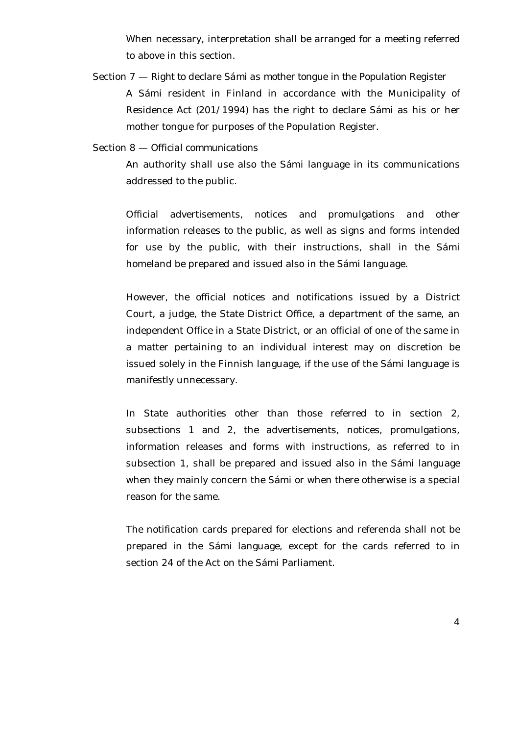When necessary, interpretation shall be arranged for a meeting referred to above in this section.

Section 7 — *Right to declare Sámi as mother tongue in the Population Register* A Sámi resident in Finland in accordance with the Municipality of Residence Act (201/1994) has the right to declare Sámi as his or her mother tongue for purposes of the Population Register.

## Section 8 — *Official communications*

An authority shall use also the Sámi language in its communications addressed to the public.

Official advertisements, notices and promulgations and other information releases to the public, as well as signs and forms intended for use by the public, with their instructions, shall in the Sámi homeland be prepared and issued also in the Sámi language.

However, the official notices and notifications issued by a District Court, a judge, the State District Office, a department of the same, an independent Office in a State District, or an official of one of the same in a matter pertaining to an individual interest may on discretion be issued solely in the Finnish language, if the use of the Sámi language is manifestly unnecessary.

In State authorities other than those referred to in section 2, subsections 1 and 2, the advertisements, notices, promulgations, information releases and forms with instructions, as referred to in subsection 1, shall be prepared and issued also in the Sámi language when they mainly concern the Sámi or when there otherwise is a special reason for the same.

The notification cards prepared for elections and referenda shall not be prepared in the Sámi language, except for the cards referred to in section 24 of the Act on the Sámi Parliament.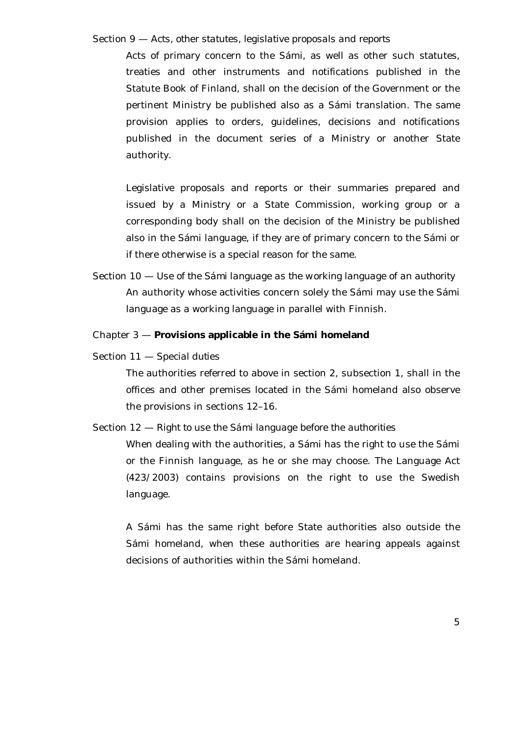## Section 9 — *Acts, other statutes, legislative proposals and reports*

Acts of primary concern to the Sámi, as well as other such statutes, treaties and other instruments and notifications published in the Statute Book of Finland, shall on the decision of the Government or the pertinent Ministry be published also as a Sámi translation. The same provision applies to orders, guidelines, decisions and notifications published in the document series of a Ministry or another State authority.

Legislative proposals and reports or their summaries prepared and issued by a Ministry or a State Commission, working group or a corresponding body shall on the decision of the Ministry be published also in the Sámi language, if they are of primary concern to the Sámi or if there otherwise is a special reason for the same.

Section 10 — *Use of the Sámi language as the working language of an authority* An authority whose activities concern solely the Sámi may use the Sámi language as a working language in parallel with Finnish.

## Chapter 3 — **Provisions applicable in the Sámi homeland**

Section 11 — *Special duties*

The authorities referred to above in section 2, subsection 1, shall in the offices and other premises located in the Sámi homeland also observe the provisions in sections 12–16.

Section 12 — *Right to use the Sámi language before the authorities*

When dealing with the authorities, a Sámi has the right to use the Sámi or the Finnish language, as he or she may choose. The Language Act (423/2003) contains provisions on the right to use the Swedish language.

A Sámi has the same right before State authorities also outside the Sámi homeland, when these authorities are hearing appeals against decisions of authorities within the Sámi homeland.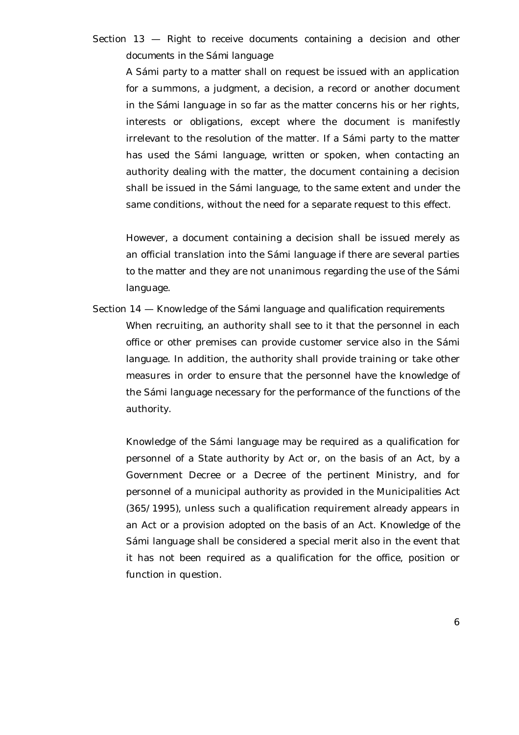## Section 13 — *Right to receive documents containing a decision and other documents in the Sámi language*

A Sámi party to a matter shall on request be issued with an application for a summons, a judgment, a decision, a record or another document in the Sámi language in so far as the matter concerns his or her rights, interests or obligations, except where the document is manifestly irrelevant to the resolution of the matter. If a Sámi party to the matter has used the Sámi language, written or spoken, when contacting an authority dealing with the matter, the document containing a decision shall be issued in the Sámi language, to the same extent and under the same conditions, without the need for a separate request to this effect.

However, a document containing a decision shall be issued merely as an official translation into the Sámi language if there are several parties to the matter and they are not unanimous regarding the use of the Sámi language.

Section 14 — *Knowledge of the Sámi language and qualification requirements*

When recruiting, an authority shall see to it that the personnel in each office or other premises can provide customer service also in the Sámi language. In addition, the authority shall provide training or take other measures in order to ensure that the personnel have the knowledge of the Sámi language necessary for the performance of the functions of the authority.

Knowledge of the Sámi language may be required as a qualification for personnel of a State authority by Act or, on the basis of an Act, by a Government Decree or a Decree of the pertinent Ministry, and for personnel of a municipal authority as provided in the Municipalities Act (365/1995), unless such a qualification requirement already appears in an Act or a provision adopted on the basis of an Act. Knowledge of the Sámi language shall be considered a special merit also in the event that it has not been required as a qualification for the office, position or function in question.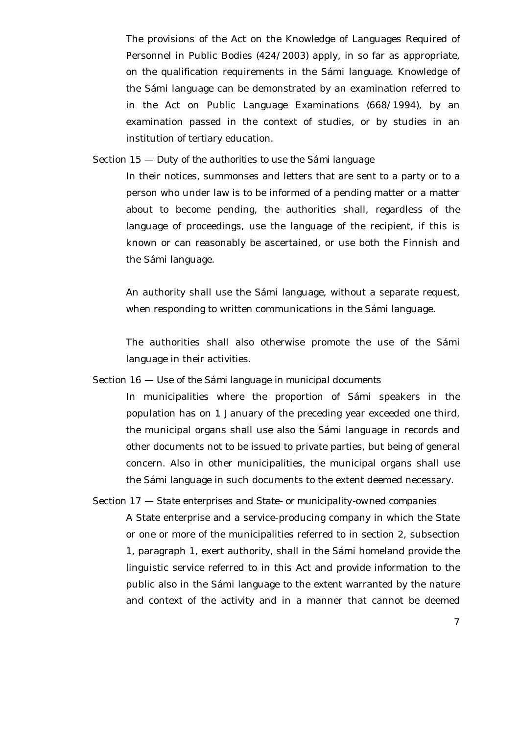The provisions of the Act on the Knowledge of Languages Required of Personnel in Public Bodies (424/2003) apply, in so far as appropriate, on the qualification requirements in the Sámi language. Knowledge of the Sámi language can be demonstrated by an examination referred to in the Act on Public Language Examinations (668/1994), by an examination passed in the context of studies, or by studies in an institution of tertiary education.

Section 15 — *Duty of the authorities to use the Sámi language*

In their notices, summonses and letters that are sent to a party or to a person who under law is to be informed of a pending matter or a matter about to become pending, the authorities shall, regardless of the language of proceedings, use the language of the recipient, if this is known or can reasonably be ascertained, or use both the Finnish and the Sámi language.

An authority shall use the Sámi language, without a separate request, when responding to written communications in the Sámi language.

The authorities shall also otherwise promote the use of the Sámi language in their activities.

Section 16 — *Use of the Sámi language in municipal documents*

In municipalities where the proportion of Sámi speakers in the population has on 1 January of the preceding year exceeded one third, the municipal organs shall use also the Sámi language in records and other documents not to be issued to private parties, but being of general concern. Also in other municipalities, the municipal organs shall use the Sámi language in such documents to the extent deemed necessary.

Section 17 — *State enterprises and State- or municipality-owned companies*

A State enterprise and a service-producing company in which the State or one or more of the municipalities referred to in section 2, subsection 1, paragraph 1, exert authority, shall in the Sámi homeland provide the linguistic service referred to in this Act and provide information to the public also in the Sámi language to the extent warranted by the nature and context of the activity and in a manner that cannot be deemed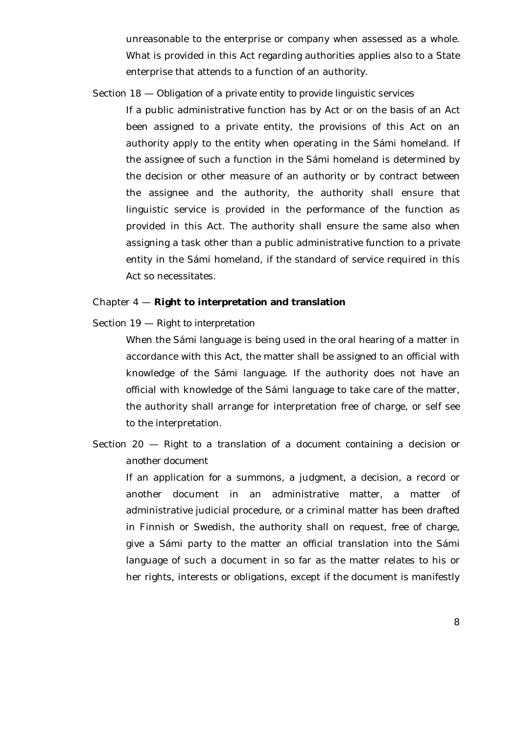unreasonable to the enterprise or company when assessed as a whole. What is provided in this Act regarding authorities applies also to a State enterprise that attends to a function of an authority.

Section 18 — *Obligation of a private entity to provide linguistic services*

If a public administrative function has by Act or on the basis of an Act been assigned to a private entity, the provisions of this Act on an authority apply to the entity when operating in the Sámi homeland. If the assignee of such a function in the Sámi homeland is determined by the decision or other measure of an authority or by contract between the assignee and the authority, the authority shall ensure that linguistic service is provided in the performance of the function as provided in this Act. The authority shall ensure the same also when assigning a task other than a public administrative function to a private entity in the Sámi homeland, if the standard of service required in this Act so necessitates.

### Chapter 4 — **Right to interpretation and translation**

Section 19 — *Right to interpretation*

When the Sámi language is being used in the oral hearing of a matter in accordance with this Act, the matter shall be assigned to an official with knowledge of the Sámi language. If the authority does not have an official with knowledge of the Sámi language to take care of the matter, the authority shall arrange for interpretation free of charge, or self see to the interpretation.

Section 20 — *Right to a translation of a document containing a decision or another document*

If an application for a summons, a judgment, a decision, a record or another document in an administrative matter, a matter of administrative judicial procedure, or a criminal matter has been drafted in Finnish or Swedish, the authority shall on request, free of charge, give a Sámi party to the matter an official translation into the Sámi language of such a document in so far as the matter relates to his or her rights, interests or obligations, except if the document is manifestly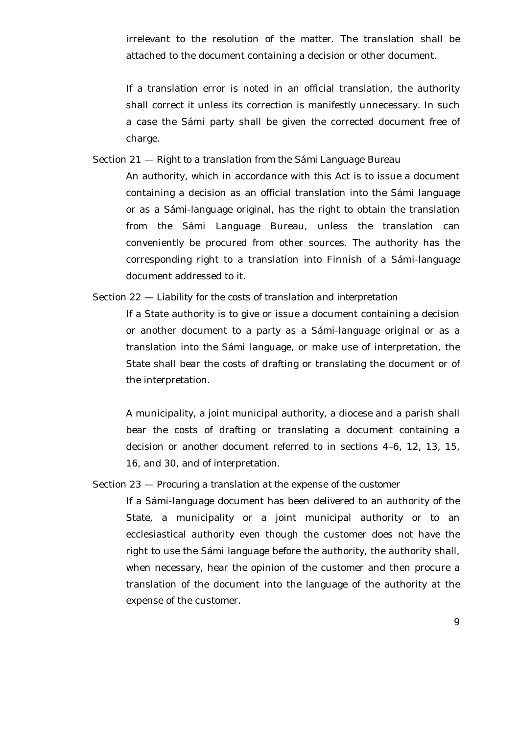irrelevant to the resolution of the matter. The translation shall be attached to the document containing a decision or other document.

If a translation error is noted in an official translation, the authority shall correct it unless its correction is manifestly unnecessary. In such a case the Sámi party shall be given the corrected document free of charge.

Section 21 — *Right to a translation from the Sámi Language Bureau*

An authority, which in accordance with this Act is to issue a document containing a decision as an official translation into the Sámi language or as a Sámi-language original, has the right to obtain the translation from the Sámi Language Bureau, unless the translation can conveniently be procured from other sources. The authority has the corresponding right to a translation into Finnish of a Sámi-language document addressed to it.

Section 22 — *Liability for the costs of translation and interpretation*

If a State authority is to give or issue a document containing a decision or another document to a party as a Sámi-language original or as a translation into the Sámi language, or make use of interpretation, the State shall bear the costs of drafting or translating the document or of the interpretation.

A municipality, a joint municipal authority, a diocese and a parish shall bear the costs of drafting or translating a document containing a decision or another document referred to in sections 4–6, 12, 13, 15, 16, and 30, and of interpretation.

## Section 23 — *Procuring a translation at the expense of the customer*

If a Sámi-language document has been delivered to an authority of the State, a municipality or a joint municipal authority or to an ecclesiastical authority even though the customer does not have the right to use the Sámi language before the authority, the authority shall, when necessary, hear the opinion of the customer and then procure a translation of the document into the language of the authority at the expense of the customer.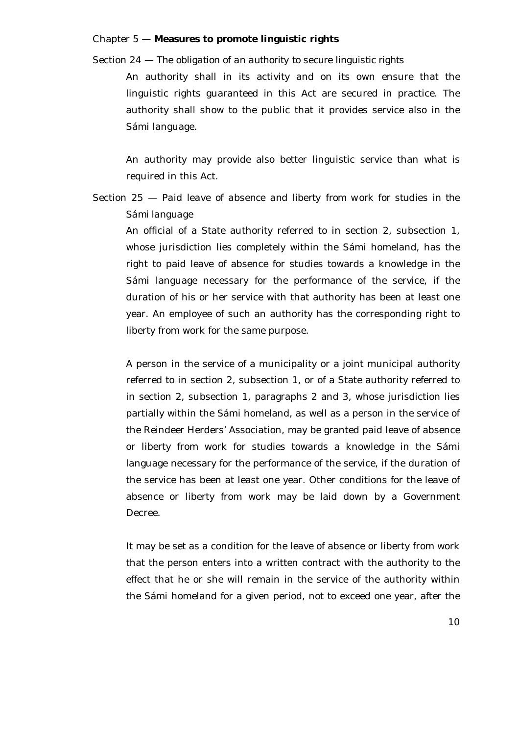#### Chapter 5 — **Measures to promote linguistic rights**

Section 24 — *The obligation of an authority to secure linguistic rights*

An authority shall in its activity and on its own ensure that the linguistic rights guaranteed in this Act are secured in practice. The authority shall show to the public that it provides service also in the Sámi language.

An authority may provide also better linguistic service than what is required in this Act.

Section 25 — *Paid leave of absence and liberty from work for studies in the Sámi language*

An official of a State authority referred to in section 2, subsection 1, whose jurisdiction lies completely within the Sámi homeland, has the right to paid leave of absence for studies towards a knowledge in the Sámi language necessary for the performance of the service, if the duration of his or her service with that authority has been at least one year. An employee of such an authority has the corresponding right to liberty from work for the same purpose.

A person in the service of a municipality or a joint municipal authority referred to in section 2, subsection 1, or of a State authority referred to in section 2, subsection 1, paragraphs 2 and 3, whose jurisdiction lies partially within the Sámi homeland, as well as a person in the service of the Reindeer Herders' Association, may be granted paid leave of absence or liberty from work for studies towards a knowledge in the Sámi language necessary for the performance of the service, if the duration of the service has been at least one year. Other conditions for the leave of absence or liberty from work may be laid down by a Government Decree.

It may be set as a condition for the leave of absence or liberty from work that the person enters into a written contract with the authority to the effect that he or she will remain in the service of the authority within the Sámi homeland for a given period, not to exceed one year, after the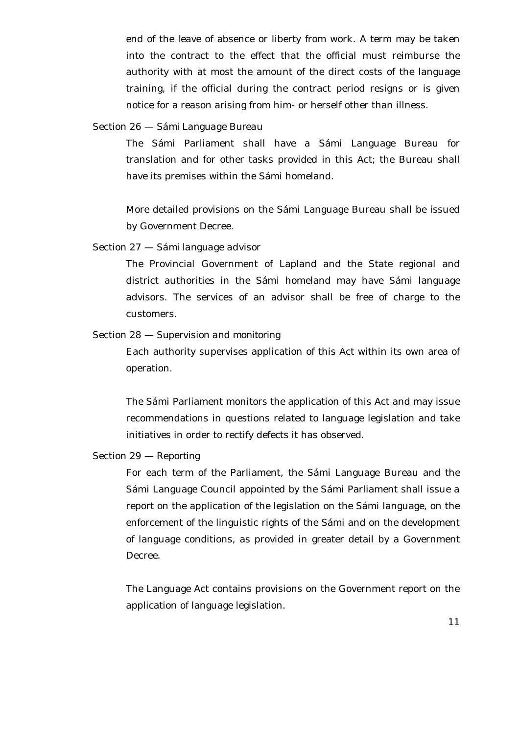end of the leave of absence or liberty from work. A term may be taken into the contract to the effect that the official must reimburse the authority with at most the amount of the direct costs of the language training, if the official during the contract period resigns or is given notice for a reason arising from him- or herself other than illness.

## Section 26 — *Sámi Language Bureau*

The Sámi Parliament shall have a Sámi Language Bureau for translation and for other tasks provided in this Act; the Bureau shall have its premises within the Sámi homeland.

More detailed provisions on the Sámi Language Bureau shall be issued by Government Decree.

## Section 27 — *Sámi language advisor*

The Provincial Government of Lapland and the State regional and district authorities in the Sámi homeland may have Sámi language advisors. The services of an advisor shall be free of charge to the customers.

## Section 28 — *Supervision and monitoring*

Each authority supervises application of this Act within its own area of operation.

The Sámi Parliament monitors the application of this Act and may issue recommendations in questions related to language legislation and take initiatives in order to rectify defects it has observed.

#### Section 29 — *Reporting*

For each term of the Parliament, the Sámi Language Bureau and the Sámi Language Council appointed by the Sámi Parliament shall issue a report on the application of the legislation on the Sámi language, on the enforcement of the linguistic rights of the Sámi and on the development of language conditions, as provided in greater detail by a Government Decree.

The Language Act contains provisions on the Government report on the application of language legislation.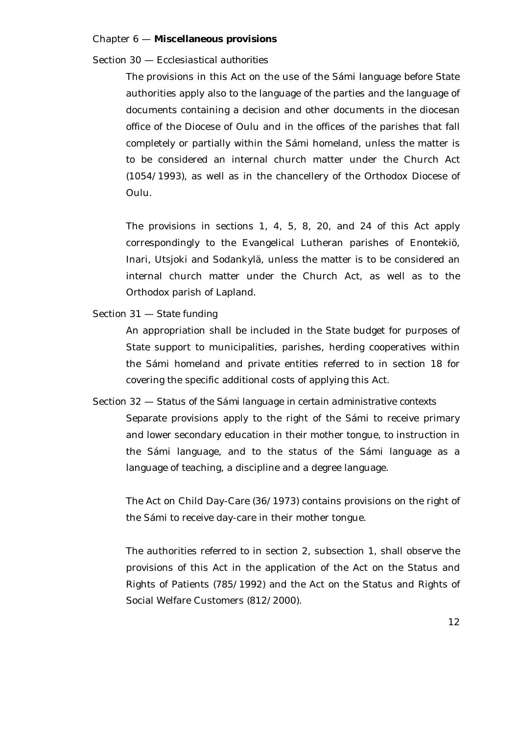#### Chapter 6 — **Miscellaneous provisions**

Section 30 — *Ecclesiastical authorities*

The provisions in this Act on the use of the Sámi language before State authorities apply also to the language of the parties and the language of documents containing a decision and other documents in the diocesan office of the Diocese of Oulu and in the offices of the parishes that fall completely or partially within the Sámi homeland, unless the matter is to be considered an internal church matter under the Church Act (1054/1993), as well as in the chancellery of the Orthodox Diocese of Oulu.

The provisions in sections 1, 4, 5, 8, 20, and 24 of this Act apply correspondingly to the Evangelical Lutheran parishes of Enontekiö, Inari, Utsjoki and Sodankylä, unless the matter is to be considered an internal church matter under the Church Act, as well as to the Orthodox parish of Lapland.

Section 31 — *State funding*

An appropriation shall be included in the State budget for purposes of State support to municipalities, parishes, herding cooperatives within the Sámi homeland and private entities referred to in section 18 for covering the specific additional costs of applying this Act.

Section 32 — *Status of the Sámi language in certain administrative contexts*

Separate provisions apply to the right of the Sámi to receive primary and lower secondary education in their mother tongue, to instruction in the Sámi language, and to the status of the Sámi language as a language of teaching, a discipline and a degree language.

The Act on Child Day-Care (36/1973) contains provisions on the right of the Sámi to receive day-care in their mother tongue.

The authorities referred to in section 2, subsection 1, shall observe the provisions of this Act in the application of the Act on the Status and Rights of Patients (785/1992) and the Act on the Status and Rights of Social Welfare Customers (812/2000).